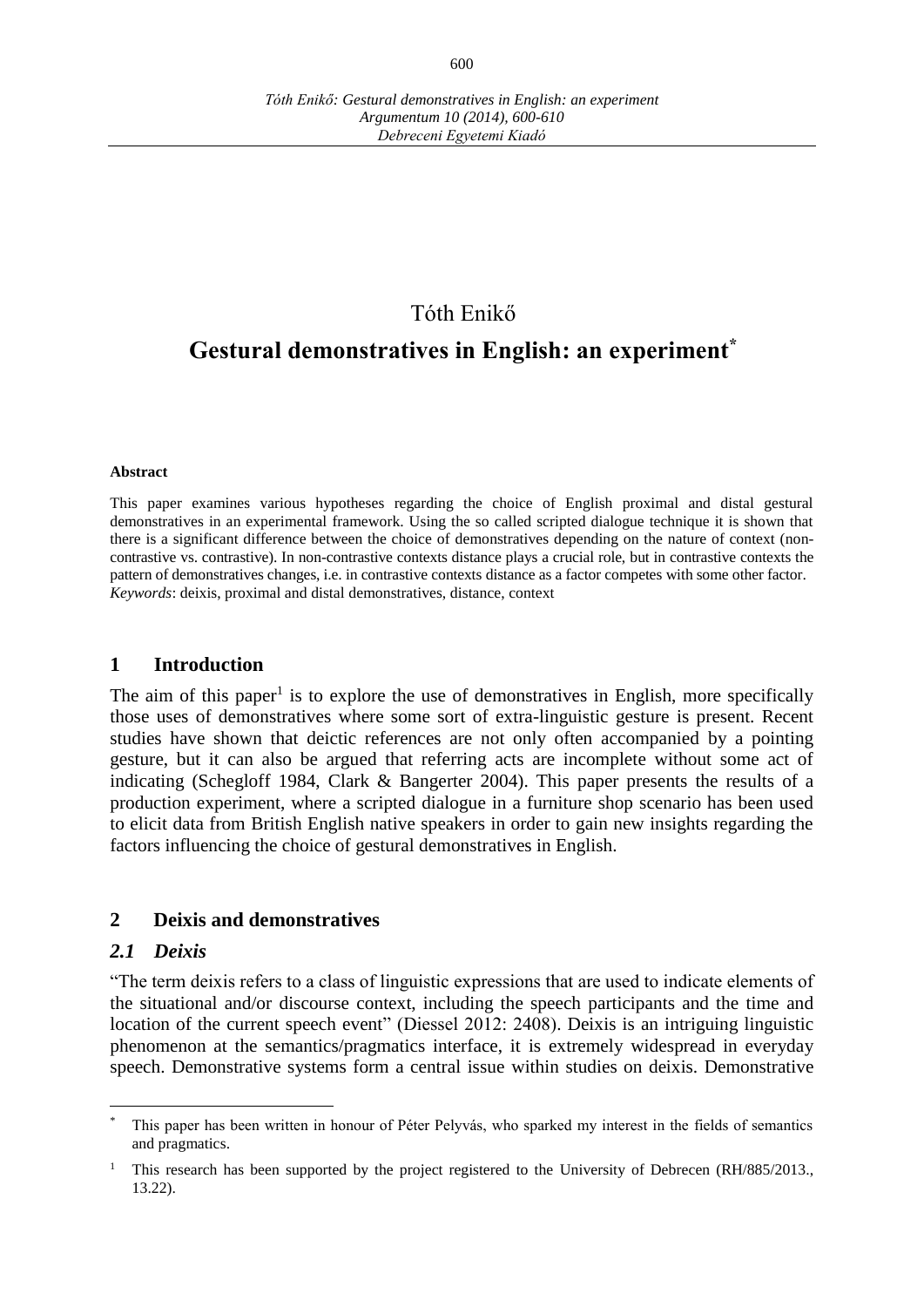## Tóth Enikő

# **Gestural demonstratives in English: an experiment\***

#### **Abstract**

This paper examines various hypotheses regarding the choice of English proximal and distal gestural demonstratives in an experimental framework. Using the so called scripted dialogue technique it is shown that there is a significant difference between the choice of demonstratives depending on the nature of context (noncontrastive vs. contrastive). In non-contrastive contexts distance plays a crucial role, but in contrastive contexts the pattern of demonstratives changes, i.e. in contrastive contexts distance as a factor competes with some other factor. *Keywords*: deixis, proximal and distal demonstratives, distance, context

#### **1 Introduction**

The aim of this paper<sup>1</sup> is to explore the use of demonstratives in English, more specifically those uses of demonstratives where some sort of extra-linguistic gesture is present. Recent studies have shown that deictic references are not only often accompanied by a pointing gesture, but it can also be argued that referring acts are incomplete without some act of indicating (Schegloff 1984, Clark & Bangerter 2004). This paper presents the results of a production experiment, where a scripted dialogue in a furniture shop scenario has been used to elicit data from British English native speakers in order to gain new insights regarding the factors influencing the choice of gestural demonstratives in English.

#### **2 Deixis and demonstratives**

#### *2.1 Deixis*

 $\overline{a}$ 

"The term deixis refers to a class of linguistic expressions that are used to indicate elements of the situational and/or discourse context, including the speech participants and the time and location of the current speech event" (Diessel 2012: 2408). Deixis is an intriguing linguistic phenomenon at the semantics/pragmatics interface, it is extremely widespread in everyday speech. Demonstrative systems form a central issue within studies on deixis. Demonstrative

This paper has been written in honour of Péter Pelyvás, who sparked my interest in the fields of semantics and pragmatics.

<sup>1</sup> This research has been supported by the project registered to the University of Debrecen (RH/885/2013., 13.22).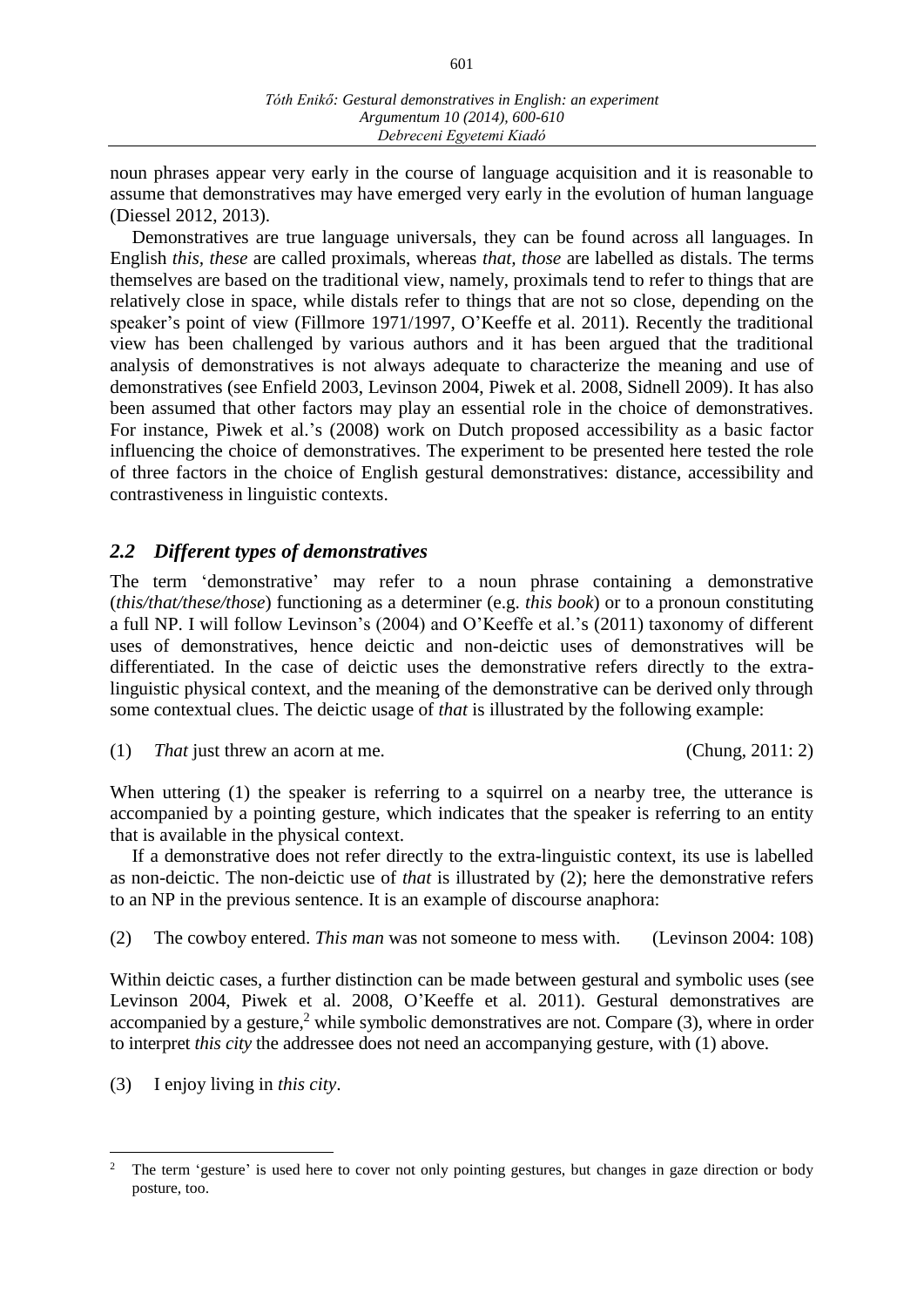601

noun phrases appear very early in the course of language acquisition and it is reasonable to assume that demonstratives may have emerged very early in the evolution of human language (Diessel 2012, 2013).

Demonstratives are true language universals, they can be found across all languages. In English *this, these* are called proximals, whereas *that, those* are labelled as distals. The terms themselves are based on the traditional view, namely, proximals tend to refer to things that are relatively close in space, while distals refer to things that are not so close, depending on the speaker's point of view (Fillmore 1971/1997, O'Keeffe et al. 2011). Recently the traditional view has been challenged by various authors and it has been argued that the traditional analysis of demonstratives is not always adequate to characterize the meaning and use of demonstratives (see Enfield 2003, Levinson 2004, Piwek et al. 2008, Sidnell 2009). It has also been assumed that other factors may play an essential role in the choice of demonstratives. For instance, Piwek et al.'s (2008) work on Dutch proposed accessibility as a basic factor influencing the choice of demonstratives. The experiment to be presented here tested the role of three factors in the choice of English gestural demonstratives: distance, accessibility and contrastiveness in linguistic contexts.

## *2.2 Different types of demonstratives*

The term 'demonstrative' may refer to a noun phrase containing a demonstrative (*this/that/these/those*) functioning as a determiner (e.g. *this book*) or to a pronoun constituting a full NP. I will follow Levinson's (2004) and O'Keeffe et al.'s (2011) taxonomy of different uses of demonstratives, hence deictic and non-deictic uses of demonstratives will be differentiated. In the case of deictic uses the demonstrative refers directly to the extralinguistic physical context, and the meaning of the demonstrative can be derived only through some contextual clues. The deictic usage of *that* is illustrated by the following example:

```
(1) That just threw an acorn at me. (Chung, 2011: 2)
```
When uttering (1) the speaker is referring to a squirrel on a nearby tree, the utterance is accompanied by a pointing gesture, which indicates that the speaker is referring to an entity that is available in the physical context.

If a demonstrative does not refer directly to the extra-linguistic context, its use is labelled as non-deictic. The non-deictic use of *that* is illustrated by (2); here the demonstrative refers to an NP in the previous sentence. It is an example of discourse anaphora:

(2) The cowboy entered. *This man* was not someone to mess with. (Levinson 2004: 108)

Within deictic cases, a further distinction can be made between gestural and symbolic uses (see Levinson 2004, Piwek et al. 2008, O'Keeffe et al. 2011). Gestural demonstratives are accompanied by a gesture,<sup>2</sup> while symbolic demonstratives are not. Compare (3), where in order to interpret *this city* the addressee does not need an accompanying gesture, with (1) above.

(3) I enjoy living in *this city*.

 $\overline{a}$ 

<sup>2</sup> The term 'gesture' is used here to cover not only pointing gestures, but changes in gaze direction or body posture, too.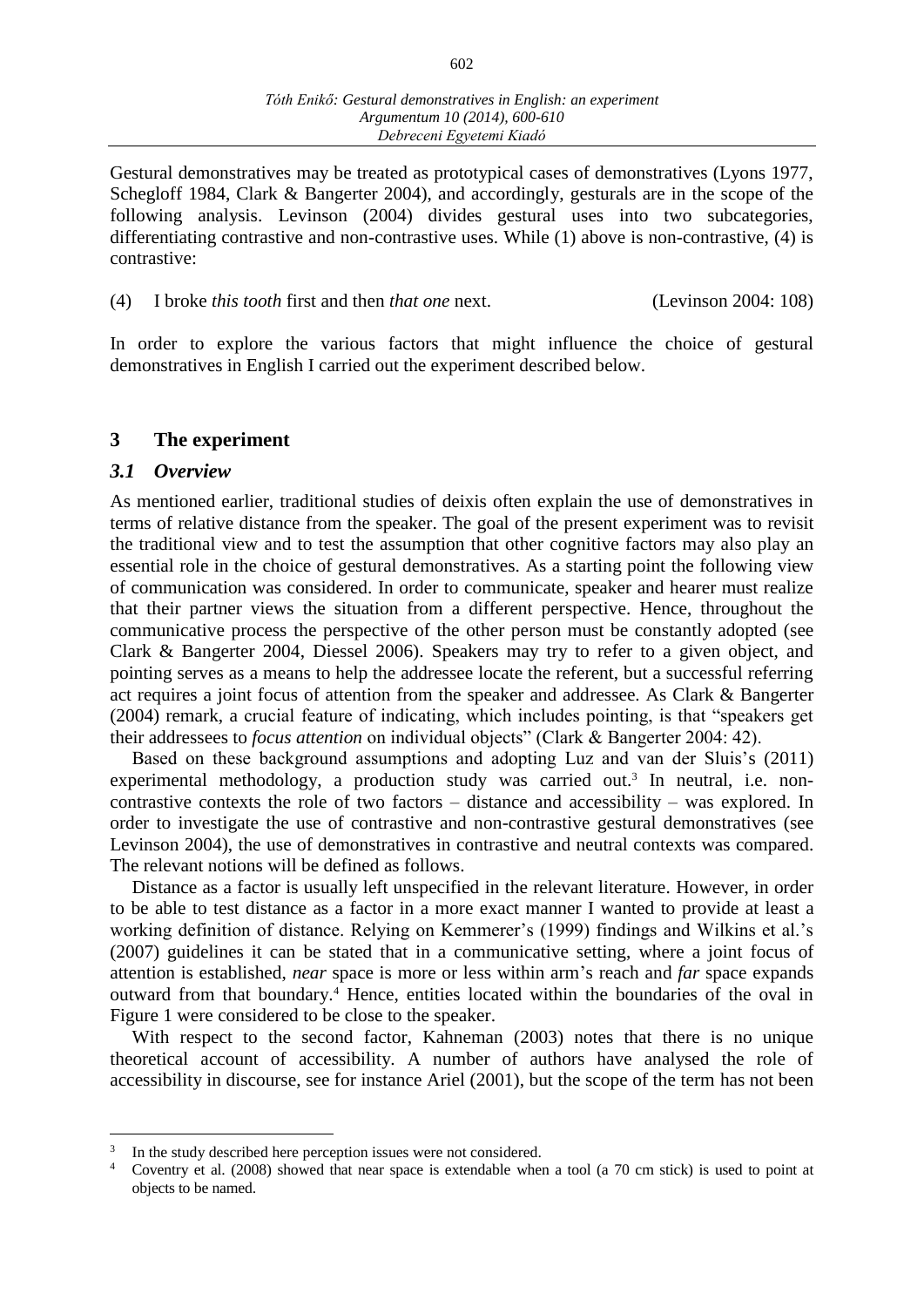Gestural demonstratives may be treated as prototypical cases of demonstratives (Lyons 1977, Schegloff 1984, Clark & Bangerter 2004), and accordingly, gesturals are in the scope of the following analysis. Levinson (2004) divides gestural uses into two subcategories, differentiating contrastive and non-contrastive uses. While (1) above is non-contrastive, (4) is contrastive:

(4) I broke *this tooth* first and then *that one* next. (Levinson 2004: 108)

In order to explore the various factors that might influence the choice of gestural demonstratives in English I carried out the experiment described below.

#### **3 The experiment**

#### *3.1 Overview*

 $\overline{a}$ 

As mentioned earlier, traditional studies of deixis often explain the use of demonstratives in terms of relative distance from the speaker. The goal of the present experiment was to revisit the traditional view and to test the assumption that other cognitive factors may also play an essential role in the choice of gestural demonstratives. As a starting point the following view of communication was considered. In order to communicate, speaker and hearer must realize that their partner views the situation from a different perspective. Hence, throughout the communicative process the perspective of the other person must be constantly adopted (see Clark & Bangerter 2004, Diessel 2006). Speakers may try to refer to a given object, and pointing serves as a means to help the addressee locate the referent, but a successful referring act requires a joint focus of attention from the speaker and addressee. As Clark & Bangerter (2004) remark, a crucial feature of indicating, which includes pointing, is that "speakers get their addressees to *focus attention* on individual objects" (Clark & Bangerter 2004: 42).

Based on these background assumptions and adopting Luz and van der Sluis's (2011) experimental methodology, a production study was carried out.<sup>3</sup> In neutral, i.e. noncontrastive contexts the role of two factors – distance and accessibility – was explored. In order to investigate the use of contrastive and non-contrastive gestural demonstratives (see Levinson 2004), the use of demonstratives in contrastive and neutral contexts was compared. The relevant notions will be defined as follows.

Distance as a factor is usually left unspecified in the relevant literature. However, in order to be able to test distance as a factor in a more exact manner I wanted to provide at least a working definition of distance. Relying on Kemmerer's (1999) findings and Wilkins et al.'s (2007) guidelines it can be stated that in a communicative setting, where a joint focus of attention is established, *near* space is more or less within arm's reach and *far* space expands outward from that boundary.<sup>4</sup> Hence, entities located within the boundaries of the oval in Figure 1 were considered to be close to the speaker.

With respect to the second factor, Kahneman (2003) notes that there is no unique theoretical account of accessibility. A number of authors have analysed the role of accessibility in discourse, see for instance Ariel (2001), but the scope of the term has not been

<sup>3</sup> In the study described here perception issues were not considered.

<sup>4</sup> Coventry et al. (2008) showed that near space is extendable when a tool (a 70 cm stick) is used to point at objects to be named.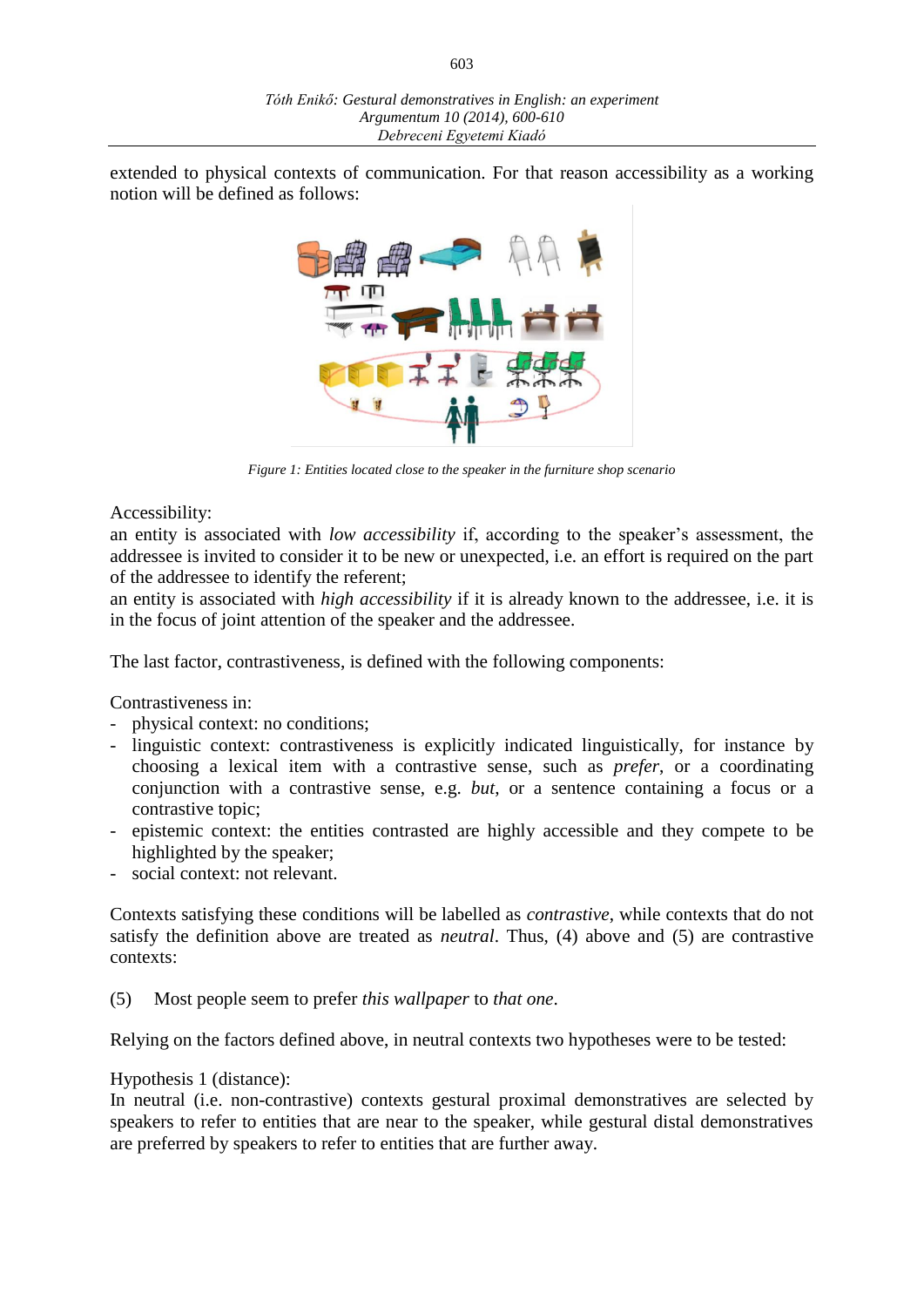603

extended to physical contexts of communication. For that reason accessibility as a working notion will be defined as follows:



*Figure 1: Entities located close to the speaker in the furniture shop scenario*

#### Accessibility:

an entity is associated with *low accessibility* if, according to the speaker's assessment, the addressee is invited to consider it to be new or unexpected, i.e. an effort is required on the part of the addressee to identify the referent;

an entity is associated with *high accessibility* if it is already known to the addressee, i.e. it is in the focus of joint attention of the speaker and the addressee.

The last factor, contrastiveness, is defined with the following components:

Contrastiveness in:

- physical context: no conditions;
- linguistic context: contrastiveness is explicitly indicated linguistically, for instance by choosing a lexical item with a contrastive sense, such as *prefer*, or a coordinating conjunction with a contrastive sense, e.g. *but*, or a sentence containing a focus or a contrastive topic;
- epistemic context: the entities contrasted are highly accessible and they compete to be highlighted by the speaker;
- social context: not relevant.

Contexts satisfying these conditions will be labelled as *contrastive*, while contexts that do not satisfy the definition above are treated as *neutral*. Thus, (4) above and (5) are contrastive contexts:

(5) Most people seem to prefer *this wallpaper* to *that one*.

Relying on the factors defined above, in neutral contexts two hypotheses were to be tested:

#### Hypothesis 1 (distance):

In neutral (i.e. non-contrastive) contexts gestural proximal demonstratives are selected by speakers to refer to entities that are near to the speaker, while gestural distal demonstratives are preferred by speakers to refer to entities that are further away.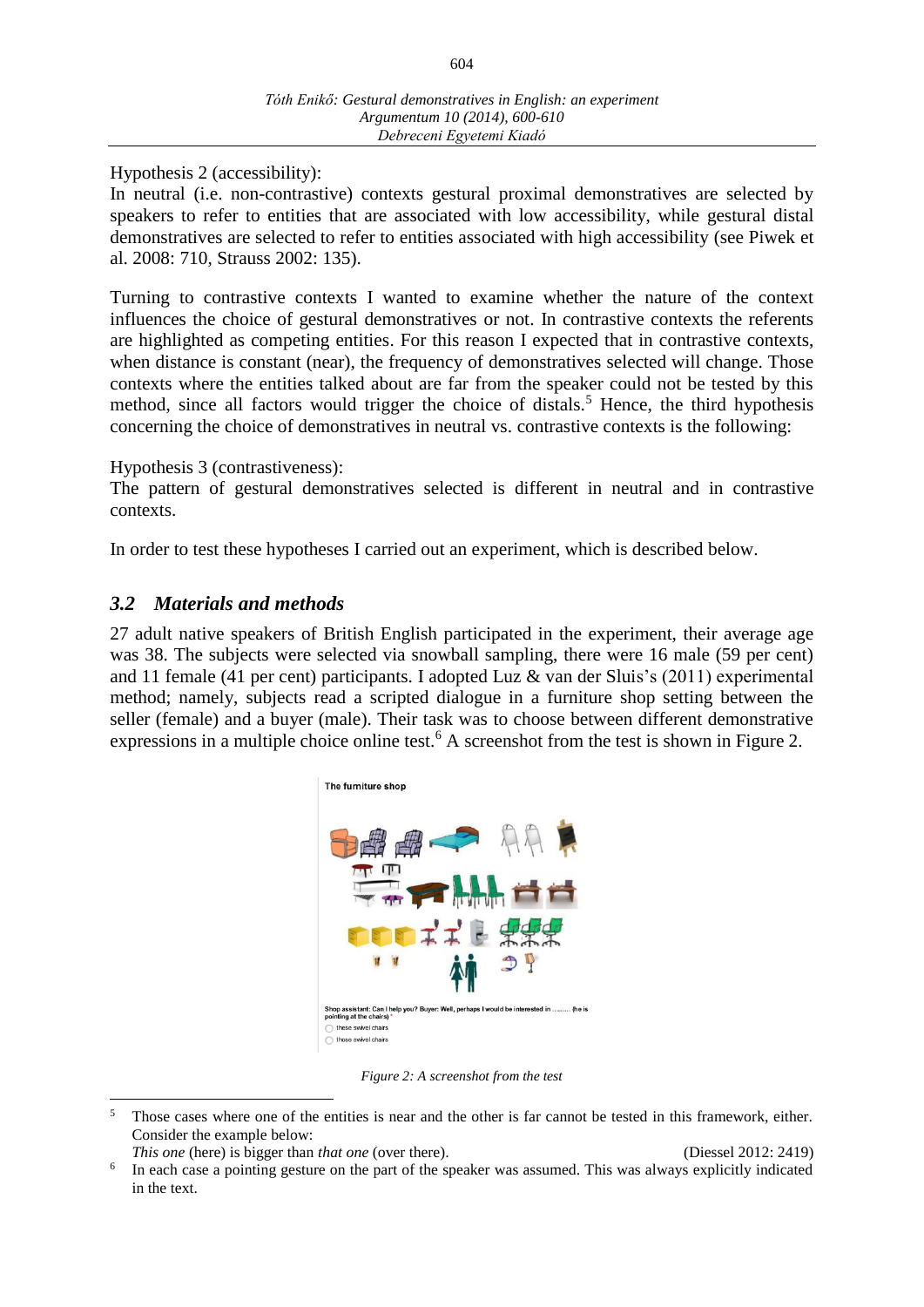604

Hypothesis 2 (accessibility):

In neutral (i.e. non-contrastive) contexts gestural proximal demonstratives are selected by speakers to refer to entities that are associated with low accessibility, while gestural distal demonstratives are selected to refer to entities associated with high accessibility (see Piwek et al. 2008: 710, Strauss 2002: 135).

Turning to contrastive contexts I wanted to examine whether the nature of the context influences the choice of gestural demonstratives or not. In contrastive contexts the referents are highlighted as competing entities. For this reason I expected that in contrastive contexts, when distance is constant (near), the frequency of demonstratives selected will change. Those contexts where the entities talked about are far from the speaker could not be tested by this method, since all factors would trigger the choice of distals.<sup>5</sup> Hence, the third hypothesis concerning the choice of demonstratives in neutral vs. contrastive contexts is the following:

#### Hypothesis 3 (contrastiveness):

The pattern of gestural demonstratives selected is different in neutral and in contrastive contexts.

In order to test these hypotheses I carried out an experiment, which is described below.

## *3.2 Materials and methods*

27 adult native speakers of British English participated in the experiment, their average age was 38. The subjects were selected via snowball sampling, there were 16 male (59 per cent) and 11 female (41 per cent) participants. I adopted Luz & van der Sluis's (2011) experimental method; namely, subjects read a scripted dialogue in a furniture shop setting between the seller (female) and a buyer (male). Their task was to choose between different demonstrative expressions in a multiple choice online test.<sup>6</sup> A screenshot from the test is shown in Figure 2.



*Figure 2: A screenshot from the test*

 $\overline{a}$ 

<sup>&</sup>lt;sup>5</sup> Those cases where one of the entities is near and the other is far cannot be tested in this framework, either. Consider the example below:

*This one* (here) is bigger than *that one* (over there). (Diessel 2012: 2419)

<sup>6</sup> In each case a pointing gesture on the part of the speaker was assumed. This was always explicitly indicated in the text.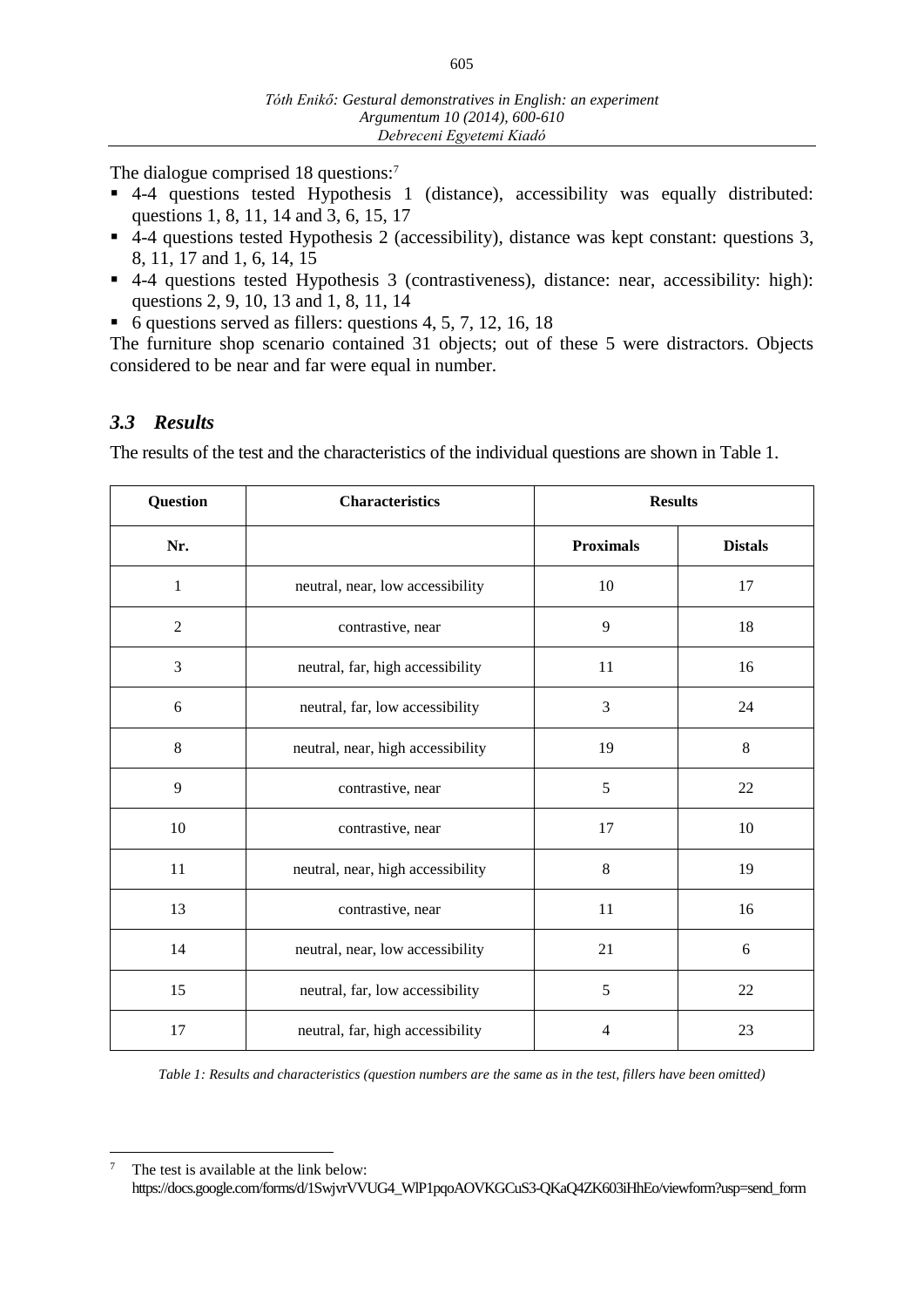The dialogue comprised 18 questions:<sup>7</sup>

- 4-4 questions tested Hypothesis 1 (distance), accessibility was equally distributed: questions 1, 8, 11, 14 and 3, 6, 15, 17
- 4-4 questions tested Hypothesis 2 (accessibility), distance was kept constant: questions 3, 8, 11, 17 and 1, 6, 14, 15
- 4-4 questions tested Hypothesis 3 (contrastiveness), distance: near, accessibility: high): questions 2, 9, 10, 13 and 1, 8, 11, 14
- $\bullet$  6 questions served as fillers: questions 4, 5, 7, 12, 16, 18

The furniture shop scenario contained 31 objects; out of these 5 were distractors. Objects considered to be near and far were equal in number.

## *3.3 Results*

 $\overline{a}$ 

The results of the test and the characteristics of the individual questions are shown in Table 1.

| <b>Question</b> | <b>Characteristics</b>            | <b>Results</b>   |                |
|-----------------|-----------------------------------|------------------|----------------|
| Nr.             |                                   | <b>Proximals</b> | <b>Distals</b> |
| 1               | neutral, near, low accessibility  | 10               | 17             |
| $\overline{2}$  | contrastive, near                 | 9                | 18             |
| 3               | neutral, far, high accessibility  | 11               | 16             |
| 6               | neutral, far, low accessibility   | 3                | 24             |
| 8               | neutral, near, high accessibility | 19               | 8              |
| 9               | contrastive, near                 | 5                | 22             |
| 10              | contrastive, near                 | 17               | 10             |
| 11              | neutral, near, high accessibility | 8                | 19             |
| 13              | contrastive, near                 | 11               | 16             |
| 14              | neutral, near, low accessibility  | 21               | 6              |
| 15              | neutral, far, low accessibility   | 5                | 22             |
| 17              | neutral, far, high accessibility  | $\overline{4}$   | 23             |

*Table 1: Results and characteristics (question numbers are the same as in the test, fillers have been omitted)*

<sup>&</sup>lt;sup>7</sup> The test is available at the link below: https://docs.google.com/forms/d/1SwjvrVVUG4\_WlP1pqoAOVKGCuS3-QKaQ4ZK603iHhEo/viewform?usp=send\_form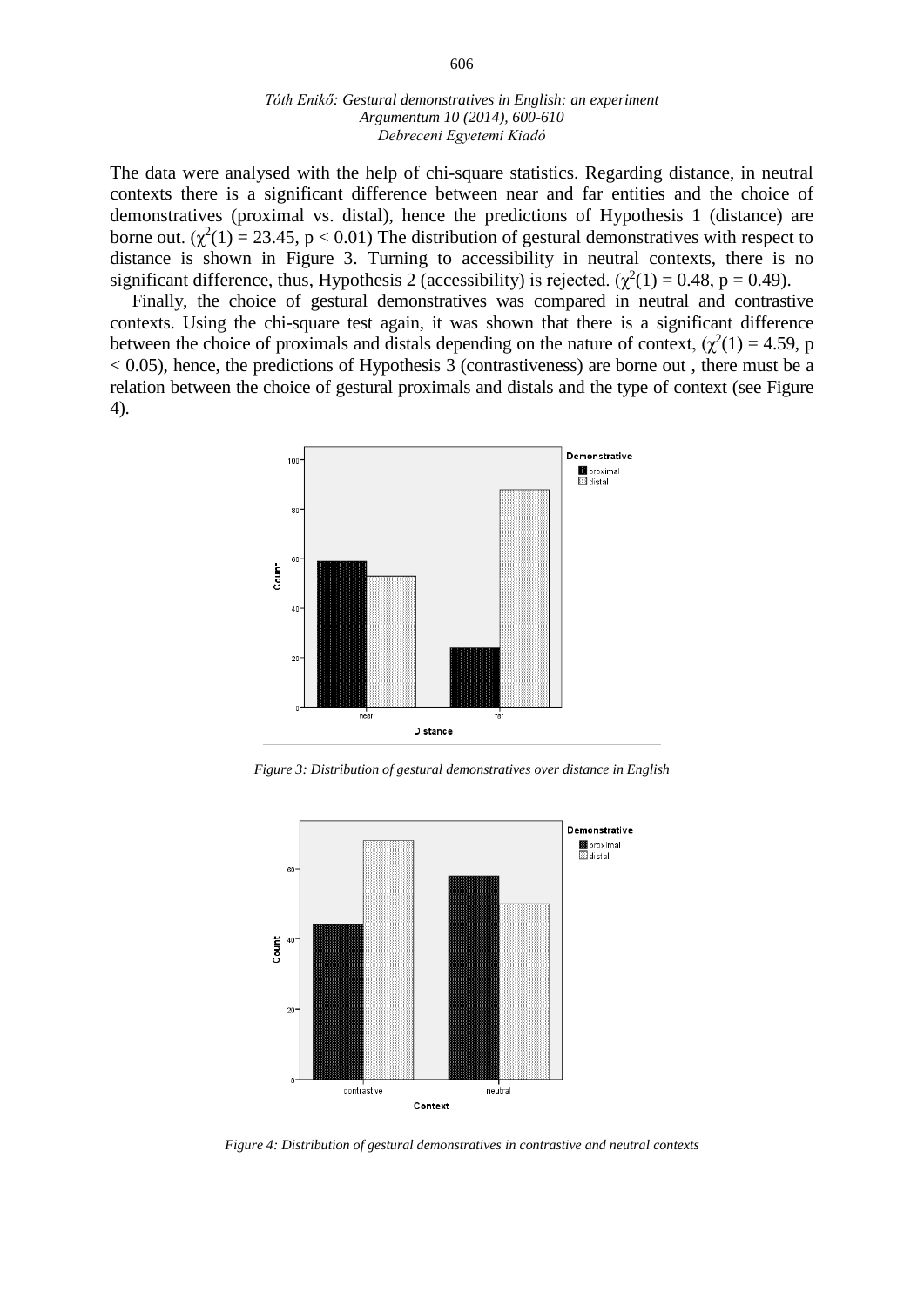#### *Tóth Enikő: Gestural demonstratives in English: an experiment Argumentum 10 (2014), 600-610 Debreceni Egyetemi Kiadó*

The data were analysed with the help of chi-square statistics. Regarding distance, in neutral contexts there is a significant difference between near and far entities and the choice of demonstratives (proximal vs. distal), hence the predictions of Hypothesis 1 (distance) are borne out. ( $\chi^2(1) = 23.45$ , p < 0.01) The distribution of gestural demonstratives with respect to distance is shown in Figure 3. Turning to accessibility in neutral contexts, there is no significant difference, thus, Hypothesis 2 (accessibility) is rejected.  $(\chi^2(1) = 0.48, p = 0.49)$ .

Finally, the choice of gestural demonstratives was compared in neutral and contrastive contexts. Using the chi-square test again, it was shown that there is a significant difference between the choice of proximals and distals depending on the nature of context,  $(\chi^2(1) = 4.59, p)$  $< 0.05$ ), hence, the predictions of Hypothesis 3 (contrastiveness) are borne out, there must be a relation between the choice of gestural proximals and distals and the type of context (see Figure 4).



*Figure 3: Distribution of gestural demonstratives over distance in English*



*Figure 4: Distribution of gestural demonstratives in contrastive and neutral contexts*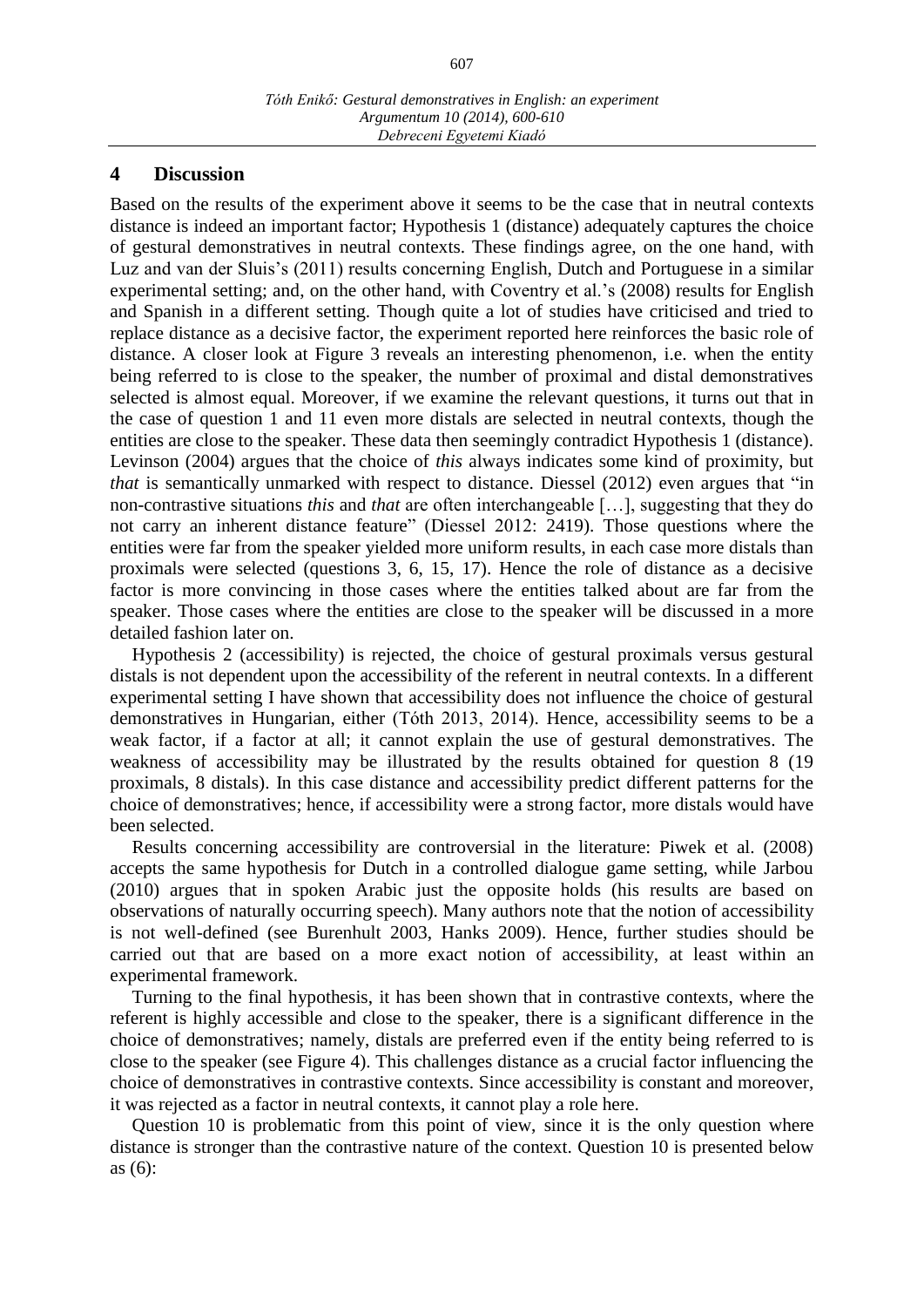#### **4 Discussion**

Based on the results of the experiment above it seems to be the case that in neutral contexts distance is indeed an important factor; Hypothesis 1 (distance) adequately captures the choice of gestural demonstratives in neutral contexts. These findings agree, on the one hand, with Luz and van der Sluis's (2011) results concerning English, Dutch and Portuguese in a similar experimental setting; and, on the other hand, with Coventry et al.'s (2008) results for English and Spanish in a different setting. Though quite a lot of studies have criticised and tried to replace distance as a decisive factor, the experiment reported here reinforces the basic role of distance. A closer look at Figure 3 reveals an interesting phenomenon, i.e. when the entity being referred to is close to the speaker, the number of proximal and distal demonstratives selected is almost equal. Moreover, if we examine the relevant questions, it turns out that in the case of question 1 and 11 even more distals are selected in neutral contexts, though the entities are close to the speaker. These data then seemingly contradict Hypothesis 1 (distance). Levinson (2004) argues that the choice of *this* always indicates some kind of proximity, but *that* is semantically unmarked with respect to distance. Diessel (2012) even argues that "in non-contrastive situations *this* and *that* are often interchangeable […], suggesting that they do not carry an inherent distance feature" (Diessel 2012: 2419). Those questions where the entities were far from the speaker yielded more uniform results, in each case more distals than proximals were selected (questions 3, 6, 15, 17). Hence the role of distance as a decisive factor is more convincing in those cases where the entities talked about are far from the speaker. Those cases where the entities are close to the speaker will be discussed in a more detailed fashion later on.

Hypothesis 2 (accessibility) is rejected, the choice of gestural proximals versus gestural distals is not dependent upon the accessibility of the referent in neutral contexts. In a different experimental setting I have shown that accessibility does not influence the choice of gestural demonstratives in Hungarian, either (Tóth 2013, 2014). Hence, accessibility seems to be a weak factor, if a factor at all; it cannot explain the use of gestural demonstratives. The weakness of accessibility may be illustrated by the results obtained for question 8 (19 proximals, 8 distals). In this case distance and accessibility predict different patterns for the choice of demonstratives; hence, if accessibility were a strong factor, more distals would have been selected.

Results concerning accessibility are controversial in the literature: Piwek et al. (2008) accepts the same hypothesis for Dutch in a controlled dialogue game setting, while Jarbou (2010) argues that in spoken Arabic just the opposite holds (his results are based on observations of naturally occurring speech). Many authors note that the notion of accessibility is not well-defined (see Burenhult 2003, Hanks 2009). Hence, further studies should be carried out that are based on a more exact notion of accessibility, at least within an experimental framework.

Turning to the final hypothesis, it has been shown that in contrastive contexts, where the referent is highly accessible and close to the speaker, there is a significant difference in the choice of demonstratives; namely, distals are preferred even if the entity being referred to is close to the speaker (see Figure 4). This challenges distance as a crucial factor influencing the choice of demonstratives in contrastive contexts. Since accessibility is constant and moreover, it was rejected as a factor in neutral contexts, it cannot play a role here.

Question 10 is problematic from this point of view, since it is the only question where distance is stronger than the contrastive nature of the context. Question 10 is presented below as (6):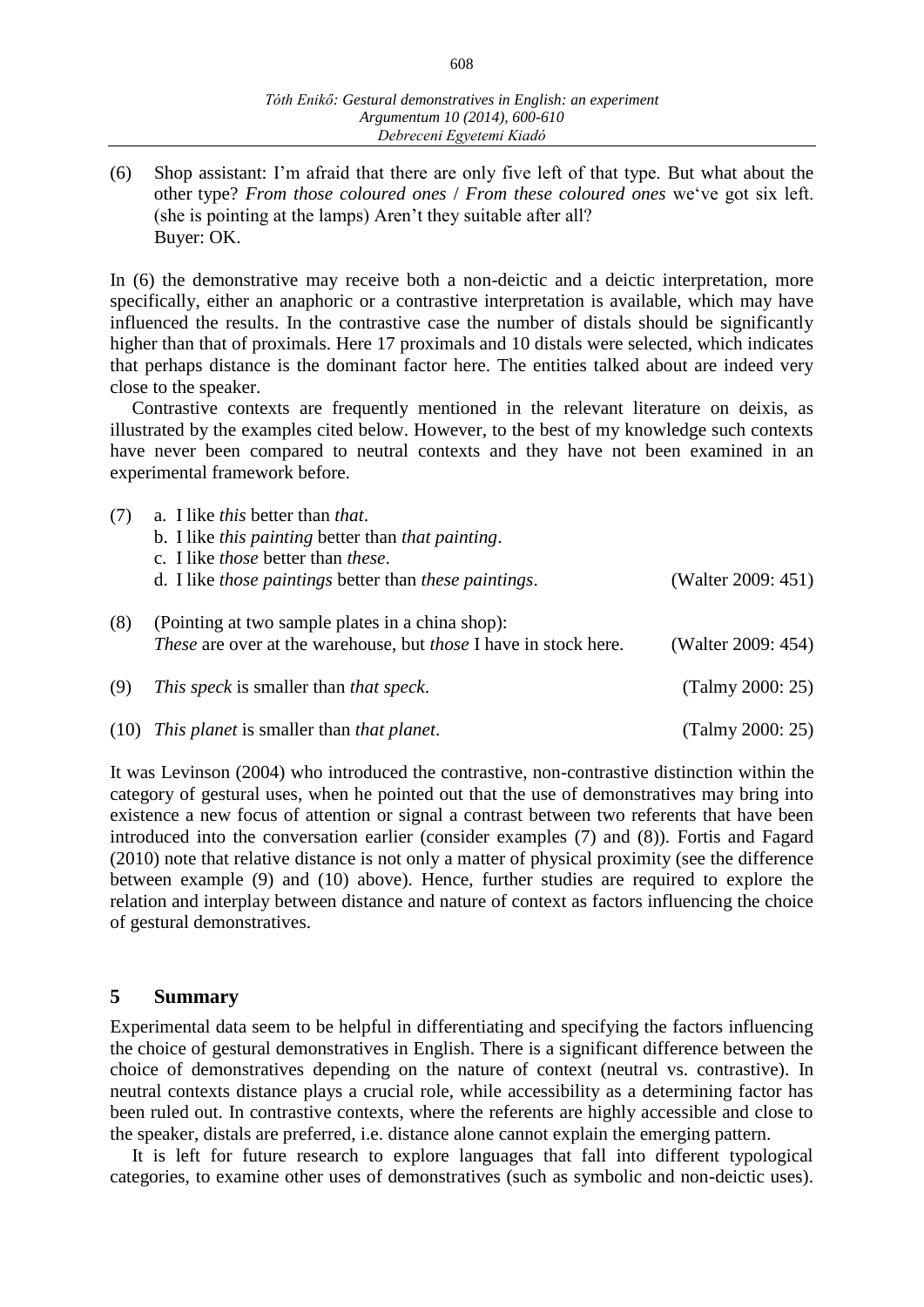(6) Shop assistant: I'm afraid that there are only five left of that type. But what about the other type? *From those coloured ones* / *From these coloured ones* we've got six left. (she is pointing at the lamps) Aren't they suitable after all? Buyer: OK.

In (6) the demonstrative may receive both a non-deictic and a deictic interpretation, more specifically, either an anaphoric or a contrastive interpretation is available, which may have influenced the results. In the contrastive case the number of distals should be significantly higher than that of proximals. Here 17 proximals and 10 distals were selected, which indicates that perhaps distance is the dominant factor here. The entities talked about are indeed very close to the speaker.

Contrastive contexts are frequently mentioned in the relevant literature on deixis, as illustrated by the examples cited below. However, to the best of my knowledge such contexts have never been compared to neutral contexts and they have not been examined in an experimental framework before.

| (7) | a. I like <i>this</i> better than <i>that</i> .                                                                                    |                    |
|-----|------------------------------------------------------------------------------------------------------------------------------------|--------------------|
|     | b. I like this painting better than that painting.                                                                                 |                    |
|     | c. I like <i>those</i> better than <i>these</i> .                                                                                  |                    |
|     | d. I like <i>those paintings</i> better than <i>these paintings</i> .                                                              | (Walter 2009: 451) |
| (8) | (Pointing at two sample plates in a china shop):<br><i>These</i> are over at the warehouse, but <i>those</i> I have in stock here. | (Walter 2009: 454) |
| (9) | This speck is smaller than that speck.                                                                                             | (Talmy 2000: 25)   |
|     | (10) This planet is smaller than that planet.                                                                                      | (Talmy 2000: 25)   |

It was Levinson (2004) who introduced the contrastive, non-contrastive distinction within the category of gestural uses, when he pointed out that the use of demonstratives may bring into existence a new focus of attention or signal a contrast between two referents that have been introduced into the conversation earlier (consider examples (7) and (8)). Fortis and Fagard (2010) note that relative distance is not only a matter of physical proximity (see the difference between example (9) and (10) above). Hence, further studies are required to explore the relation and interplay between distance and nature of context as factors influencing the choice of gestural demonstratives.

#### **5 Summary**

Experimental data seem to be helpful in differentiating and specifying the factors influencing the choice of gestural demonstratives in English. There is a significant difference between the choice of demonstratives depending on the nature of context (neutral vs. contrastive). In neutral contexts distance plays a crucial role, while accessibility as a determining factor has been ruled out. In contrastive contexts, where the referents are highly accessible and close to the speaker, distals are preferred, i.e. distance alone cannot explain the emerging pattern.

It is left for future research to explore languages that fall into different typological categories, to examine other uses of demonstratives (such as symbolic and non-deictic uses).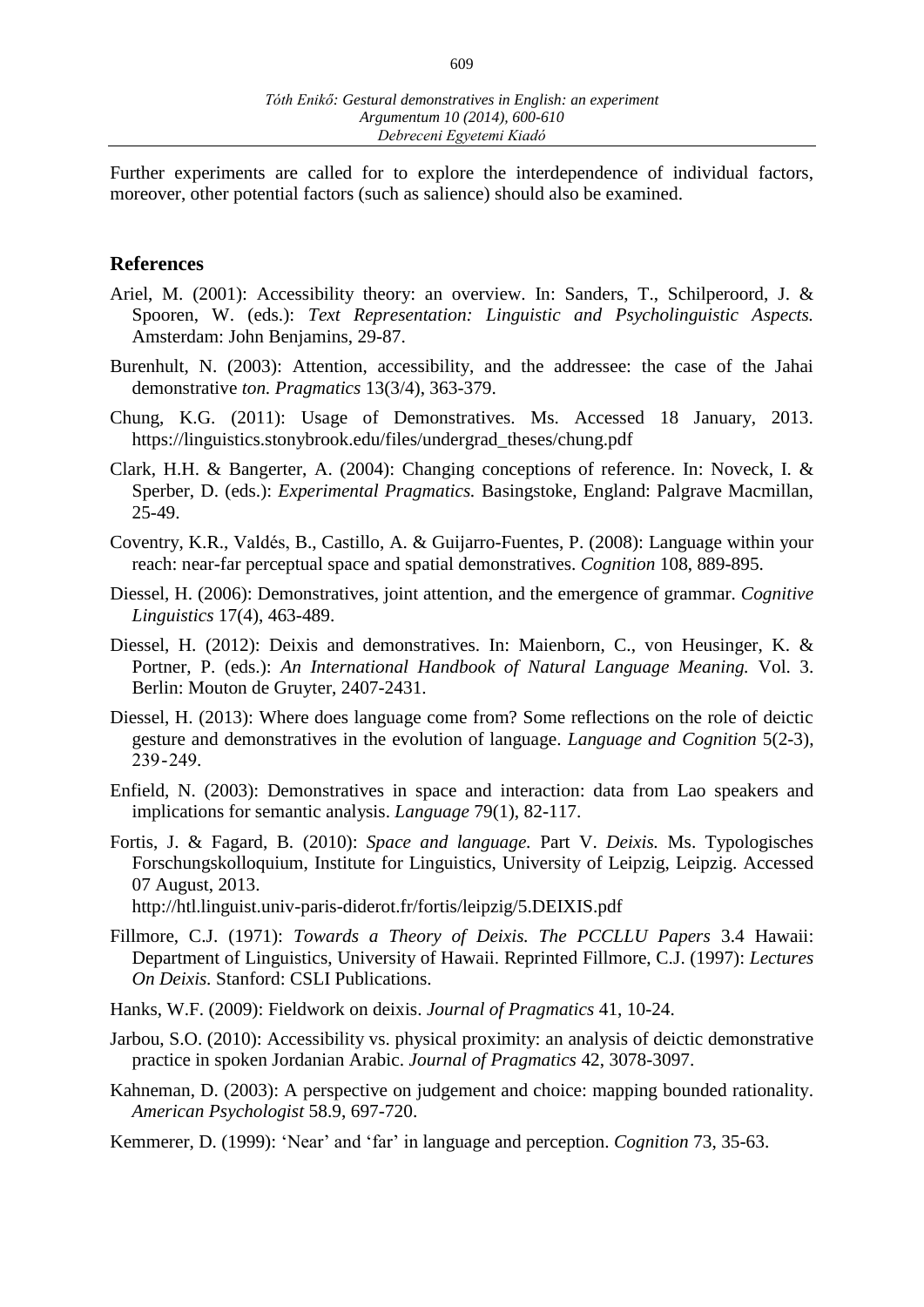Further experiments are called for to explore the interdependence of individual factors, moreover, other potential factors (such as salience) should also be examined.

#### **References**

- Ariel, M. (2001): Accessibility theory: an overview. In: Sanders, T., Schilperoord, J. & Spooren, W. (eds.): *Text Representation: Linguistic and Psycholinguistic Aspects.* Amsterdam: John Benjamins, 29-87.
- Burenhult, N. (2003): Attention, accessibility, and the addressee: the case of the Jahai demonstrative *ton. Pragmatics* 13(3/4), 363-379.
- Chung, K.G. (2011): Usage of Demonstratives. Ms. Accessed 18 January, 2013. https://linguistics.stonybrook.edu/files/undergrad\_theses/chung.pdf
- Clark, H.H. & Bangerter, A. (2004): Changing conceptions of reference. In: Noveck, I. & Sperber, D. (eds.): *Experimental Pragmatics.* Basingstoke, England: Palgrave Macmillan, 25-49.
- Coventry, K.R., Valdés, B., Castillo, A. & Guijarro-Fuentes, P. (2008): Language within your reach: near-far perceptual space and spatial demonstratives. *Cognition* 108, 889-895.
- Diessel, H. (2006): Demonstratives, joint attention, and the emergence of grammar. *Cognitive Linguistics* 17(4), 463-489.
- Diessel, H. (2012): Deixis and demonstratives. In: Maienborn, C., von Heusinger, K. & Portner, P. (eds.): *An International Handbook of Natural Language Meaning.* Vol. 3. Berlin: Mouton de Gruyter, 2407-2431.
- Diessel, H. (2013): Where does language come from? Some reflections on the role of deictic gesture and demonstratives in the evolution of language. *Language and Cognition* 5(2-3), 239 - 249.
- Enfield, N. (2003): Demonstratives in space and interaction: data from Lao speakers and implications for semantic analysis. *Language* 79(1), 82-117.
- Fortis, J. & Fagard, B. (2010): *Space and language.* Part V. *Deixis.* Ms. Typologisches Forschungskolloquium, Institute for Linguistics, University of Leipzig, Leipzig. Accessed 07 August, 2013.

http://htl.linguist.univ-paris-diderot.fr/fortis/leipzig/5.DEIXIS.pdf

- Fillmore, C.J. (1971): *Towards a Theory of Deixis. The PCCLLU Papers* 3.4 Hawaii: Department of Linguistics, University of Hawaii. Reprinted Fillmore, C.J. (1997): *Lectures On Deixis.* Stanford: CSLI Publications.
- Hanks, W.F. (2009): Fieldwork on deixis. *Journal of Pragmatics* 41, 10-24.
- Jarbou, S.O. (2010): Accessibility vs. physical proximity: an analysis of deictic demonstrative practice in spoken Jordanian Arabic. *Journal of Pragmatics* 42, 3078-3097.
- Kahneman, D. (2003): A perspective on judgement and choice: mapping bounded rationality. *American Psychologist* 58.9, 697-720.
- Kemmerer, D. (1999): 'Near' and 'far' in language and perception. *Cognition* 73, 35-63.